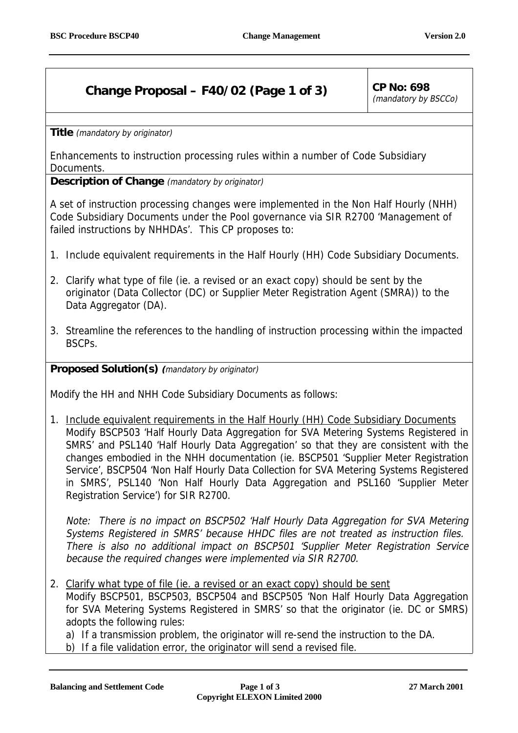## **Change Proposal – F40/02 (Page 1 of 3)** CP No: 698

(mandatory by BSCCo)

**Title** (mandatory by originator)

Enhancements to instruction processing rules within a number of Code Subsidiary Documents.

**Description of Change** (mandatory by originator)

A set of instruction processing changes were implemented in the Non Half Hourly (NHH) Code Subsidiary Documents under the Pool governance via SIR R2700 'Management of failed instructions by NHHDAs'. This CP proposes to:

- 1. Include equivalent requirements in the Half Hourly (HH) Code Subsidiary Documents.
- 2. Clarify what type of file (ie. a revised or an exact copy) should be sent by the originator (Data Collector (DC) or Supplier Meter Registration Agent (SMRA)) to the Data Aggregator (DA).
- 3. Streamline the references to the handling of instruction processing within the impacted BSCPs.

**Proposed Solution(s) (**mandatory by originator)

Modify the HH and NHH Code Subsidiary Documents as follows:

1. Include equivalent requirements in the Half Hourly (HH) Code Subsidiary Documents Modify BSCP503 'Half Hourly Data Aggregation for SVA Metering Systems Registered in SMRS' and PSL140 'Half Hourly Data Aggregation' so that they are consistent with the changes embodied in the NHH documentation (ie. BSCP501 'Supplier Meter Registration Service', BSCP504 'Non Half Hourly Data Collection for SVA Metering Systems Registered in SMRS', PSL140 'Non Half Hourly Data Aggregation and PSL160 'Supplier Meter Registration Service') for SIR R2700.

Note: There is no impact on BSCP502 'Half Hourly Data Aggregation for SVA Metering Systems Registered in SMRS' because HHDC files are not treated as instruction files. There is also no additional impact on BSCP501 'Supplier Meter Registration Service because the required changes were implemented via SIR R2700.

2. Clarify what type of file (ie. a revised or an exact copy) should be sent Modify BSCP501, BSCP503, BSCP504 and BSCP505 'Non Half Hourly Data Aggregation for SVA Metering Systems Registered in SMRS' so that the originator (ie. DC or SMRS) adopts the following rules:

a) If a transmission problem, the originator will re-send the instruction to the DA.

b) If a file validation error, the originator will send a revised file.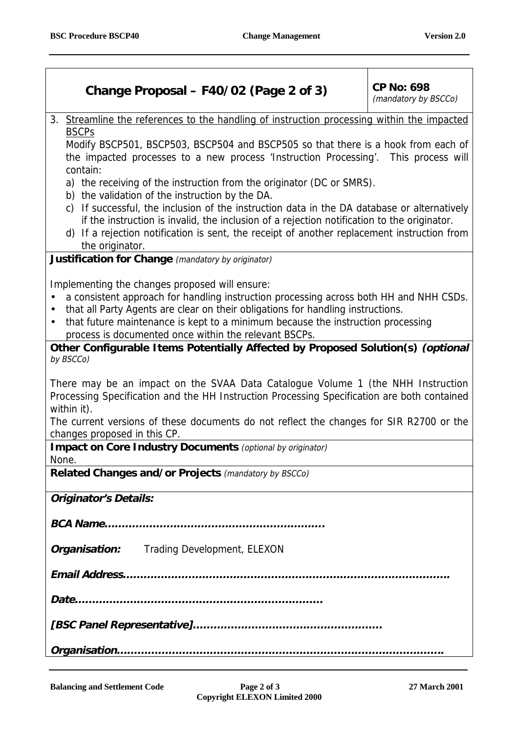## **Change Proposal – F40/02 (Page 2 of 3)** CP No: 698

(mandatory by BSCCo)

3. Streamline the references to the handling of instruction processing within the impacted BSCPs

Modify BSCP501, BSCP503, BSCP504 and BSCP505 so that there is a hook from each of the impacted processes to a new process 'Instruction Processing'. This process will contain:

- a) the receiving of the instruction from the originator (DC or SMRS).
- b) the validation of the instruction by the DA.
- c) If successful, the inclusion of the instruction data in the DA database or alternatively if the instruction is invalid, the inclusion of a rejection notification to the originator.
- d) If a rejection notification is sent, the receipt of another replacement instruction from the originator.

**Justification for Change** (mandatory by originator)

Implementing the changes proposed will ensure:

- a consistent approach for handling instruction processing across both HH and NHH CSDs.
- that all Party Agents are clear on their obligations for handling instructions.
- that future maintenance is kept to a minimum because the instruction processing process is documented once within the relevant BSCPs.

**Other Configurable Items Potentially Affected by Proposed Solution(s) (optional** by BSCCo)

There may be an impact on the SVAA Data Catalogue Volume 1 (the NHH Instruction Processing Specification and the HH Instruction Processing Specification are both contained within it).

The current versions of these documents do not reflect the changes for SIR R2700 or the changes proposed in this CP.

**Impact on Core Industry Documents** (optional by originator)

None.

**Related Changes and/or Projects** (mandatory by BSCCo)

**Originator's Details:**

**BCA Name……………………………………………………….**

*Organisation:* Trading Development, ELEXON

**Email Address…………………………………………………………………………………..**

**Date………………………………………………………………**

**[BSC Panel Representative]……………………………………………….**

**Organisation…………………………………………………………………………………..**